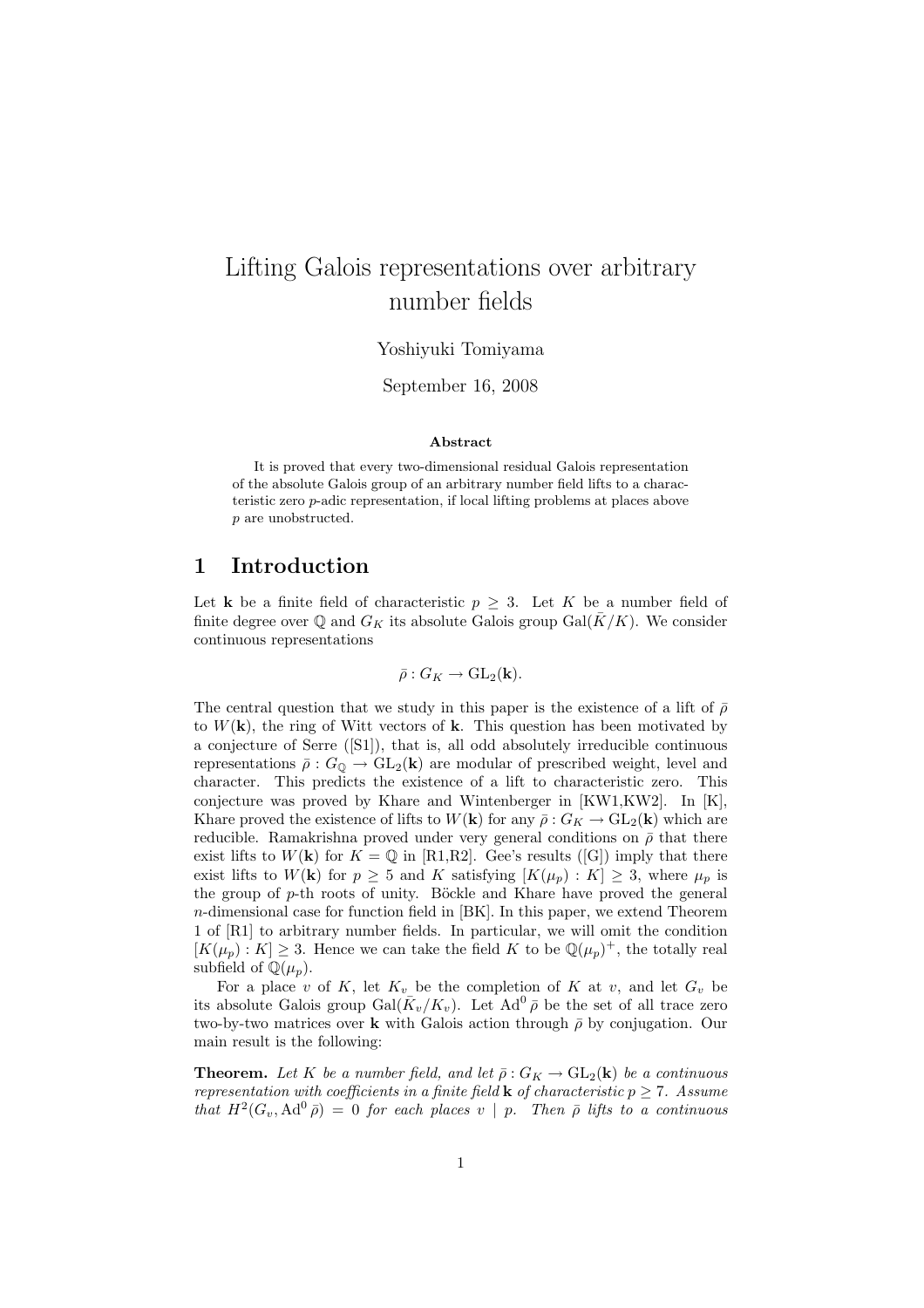# Lifting Galois representations over arbitrary number fields

### Yoshiyuki Tomiyama

September 16, 2008

#### Abstract

It is proved that every two-dimensional residual Galois representation of the absolute Galois group of an arbitrary number field lifts to a characteristic zero p-adic representation, if local lifting problems at places above p are unobstructed.

## 1 Introduction

Let **k** be a finite field of characteristic  $p \geq 3$ . Let K be a number field of finite degree over Q and  $G_K$  its absolute Galois group Gal( $\bar{K}/K$ ). We consider continuous representations

$$
\bar{\rho}: G_K \to \text{GL}_2(\mathbf{k}).
$$

The central question that we study in this paper is the existence of a lift of  $\bar{\rho}$ to  $W(\mathbf{k})$ , the ring of Witt vectors of k. This question has been motivated by a conjecture of Serre ([S1]), that is, all odd absolutely irreducible continuous representations  $\bar{\rho}: G_{\mathbb{Q}} \to GL_2(\mathbf{k})$  are modular of prescribed weight, level and character. This predicts the existence of a lift to characteristic zero. This conjecture was proved by Khare and Wintenberger in [KW1,KW2]. In [K], Khare proved the existence of lifts to  $W(\mathbf{k})$  for any  $\bar{\rho}: G_K \to GL_2(\mathbf{k})$  which are reducible. Ramakrishna proved under very general conditions on  $\bar{\rho}$  that there exist lifts to  $W(\mathbf{k})$  for  $K = \mathbb{Q}$  in [R1,R2]. Gee's results ([G]) imply that there exist lifts to  $W(\mathbf{k})$  for  $p \geq 5$  and K satisfying  $[K(\mu_p):K] \geq 3$ , where  $\mu_p$  is the group of  $p$ -th roots of unity. Böckle and Khare have proved the general  $n$ -dimensional case for function field in  $[BK]$ . In this paper, we extend Theorem 1 of [R1] to arbitrary number fields. In particular, we will omit the condition  $[K(\mu_p):K] \geq 3$ . Hence we can take the field K to be  $\mathbb{Q}(\mu_p)^+$ , the totally real subfield of  $\mathbb{Q}(\mu_p)$ .

For a place v of K, let  $K_v$  be the completion of K at v, and let  $G_v$  be its absolute Galois group  $Gal(\bar{K}_v/K_v)$ . Let  $Ad^0\bar{\rho}$  be the set of all trace zero two-by-two matrices over k with Galois action through  $\bar{\rho}$  by conjugation. Our main result is the following:

**Theorem.** Let K be a number field, and let  $\bar{\rho}: G_K \to GL_2(\mathbf{k})$  be a continuous representation with coefficients in a finite field **k** of characteristic  $p \ge 7$ . Assume that  $H^2(G_v, \text{Ad}^0\bar{\rho}) = 0$  for each places v | p. Then  $\bar{\rho}$  lifts to a continuous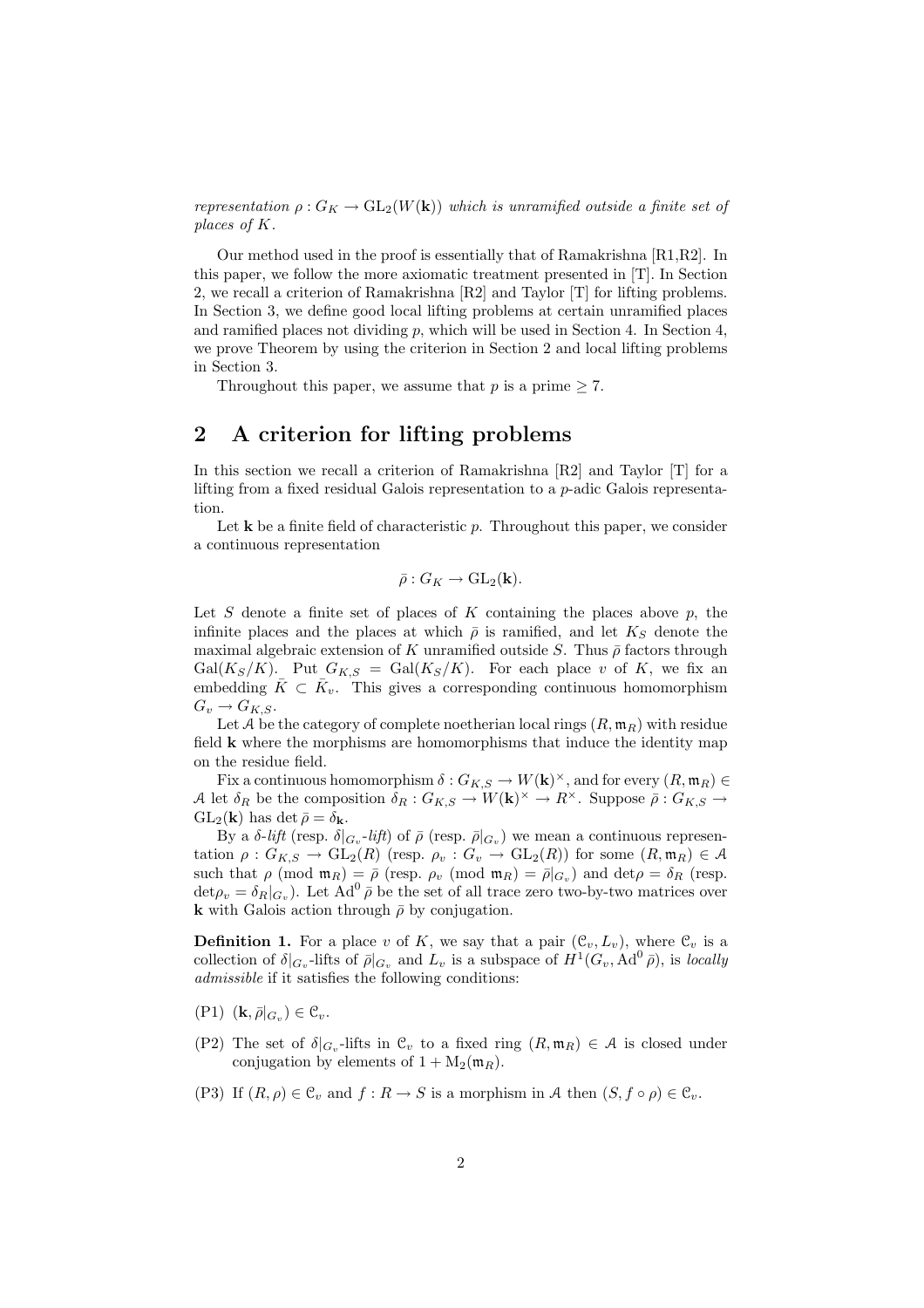representation  $\rho: G_K \to GL_2(W(\mathbf{k}))$  which is unramified outside a finite set of places of K.

Our method used in the proof is essentially that of Ramakrishna [R1,R2]. In this paper, we follow the more axiomatic treatment presented in [T]. In Section 2, we recall a criterion of Ramakrishna [R2] and Taylor [T] for lifting problems. In Section 3, we define good local lifting problems at certain unramified places and ramified places not dividing  $p$ , which will be used in Section 4. In Section 4, we prove Theorem by using the criterion in Section 2 and local lifting problems in Section 3.

Throughout this paper, we assume that p is a prime  $\geq 7$ .

# 2 A criterion for lifting problems

In this section we recall a criterion of Ramakrishna [R2] and Taylor [T] for a lifting from a fixed residual Galois representation to a p-adic Galois representation.

Let  $k$  be a finite field of characteristic p. Throughout this paper, we consider a continuous representation

$$
\bar{\rho}: G_K \to \text{GL}_2(\mathbf{k}).
$$

Let S denote a finite set of places of K containing the places above  $p$ , the infinite places and the places at which  $\bar{\rho}$  is ramified, and let  $K_S$  denote the maximal algebraic extension of K unramified outside S. Thus  $\bar{\rho}$  factors through Gal( $K_S/K$ ). Put  $G_{K,S} = \text{Gal}(K_S/K)$ . For each place v of K, we fix an embedding  $\overline{K} \subset \overline{K}_v$ . This gives a corresponding continuous homomorphism  $G_v \to G_{K,S}.$ 

Let A be the category of complete noetherian local rings  $(R, \mathfrak{m}_R)$  with residue field  $k$  where the morphisms are homomorphisms that induce the identity map on the residue field.

Fix a continuous homomorphism  $\delta: G_{K,S} \to W(\mathbf{k})^{\times}$ , and for every  $(R, \mathfrak{m}_R) \in$ A let  $\delta_R$  be the composition  $\delta_R: G_{K,S} \to W(\mathbf{k})^\times \to R^\times$ . Suppose  $\bar{\rho}: G_{K,S} \to$  $GL_2(\mathbf{k})$  has det  $\bar{\rho} = \delta_{\mathbf{k}}$ .

By a δ-lift (resp. δ|<sub>Gv</sub>-lift) of  $\bar{\rho}$  (resp.  $\bar{\rho}|_{G_v}$ ) we mean a continuous representation  $\rho: G_{K,S} \to GL_2(R)$  (resp.  $\rho_v: G_v \to GL_2(R)$ ) for some  $(R, \mathfrak{m}_R) \in \mathcal{A}$ such that  $\rho \pmod{\mathfrak{m}_R} = \overline{\rho}$  (resp.  $\rho_v \pmod{\mathfrak{m}_R} = \overline{\rho}|_{G_v}$ ) and  $\det \rho = \delta_R$  (resp.  $\det \rho_v = \delta_R|_{G_v}$ ). Let  $Ad^0 \bar{\rho}$  be the set of all trace zero two-by-two matrices over **k** with Galois action through  $\bar{\rho}$  by conjugation.

**Definition 1.** For a place v of K, we say that a pair  $(\mathcal{C}_v, L_v)$ , where  $\mathcal{C}_v$  is a collection of  $\delta|_{G_v}$ -lifts of  $\bar{\rho}|_{G_v}$  and  $L_v$  is a subspace of  $H^1(G_v, \text{Ad}^0 \bar{\rho})$ , is locally admissible if it satisfies the following conditions:

- $(P1)$   $(\mathbf{k}, \bar{\rho}|_{G_v}) \in \mathcal{C}_v$ .
- (P2) The set of  $\delta|_{G_v}$ -lifts in  $\mathcal{C}_v$  to a fixed ring  $(R, \mathfrak{m}_R) \in \mathcal{A}$  is closed under conjugation by elements of  $1 + M_2(m_R)$ .
- (P3) If  $(R, \rho) \in \mathcal{C}_v$  and  $f : R \to S$  is a morphism in A then  $(S, f \circ \rho) \in \mathcal{C}_v$ .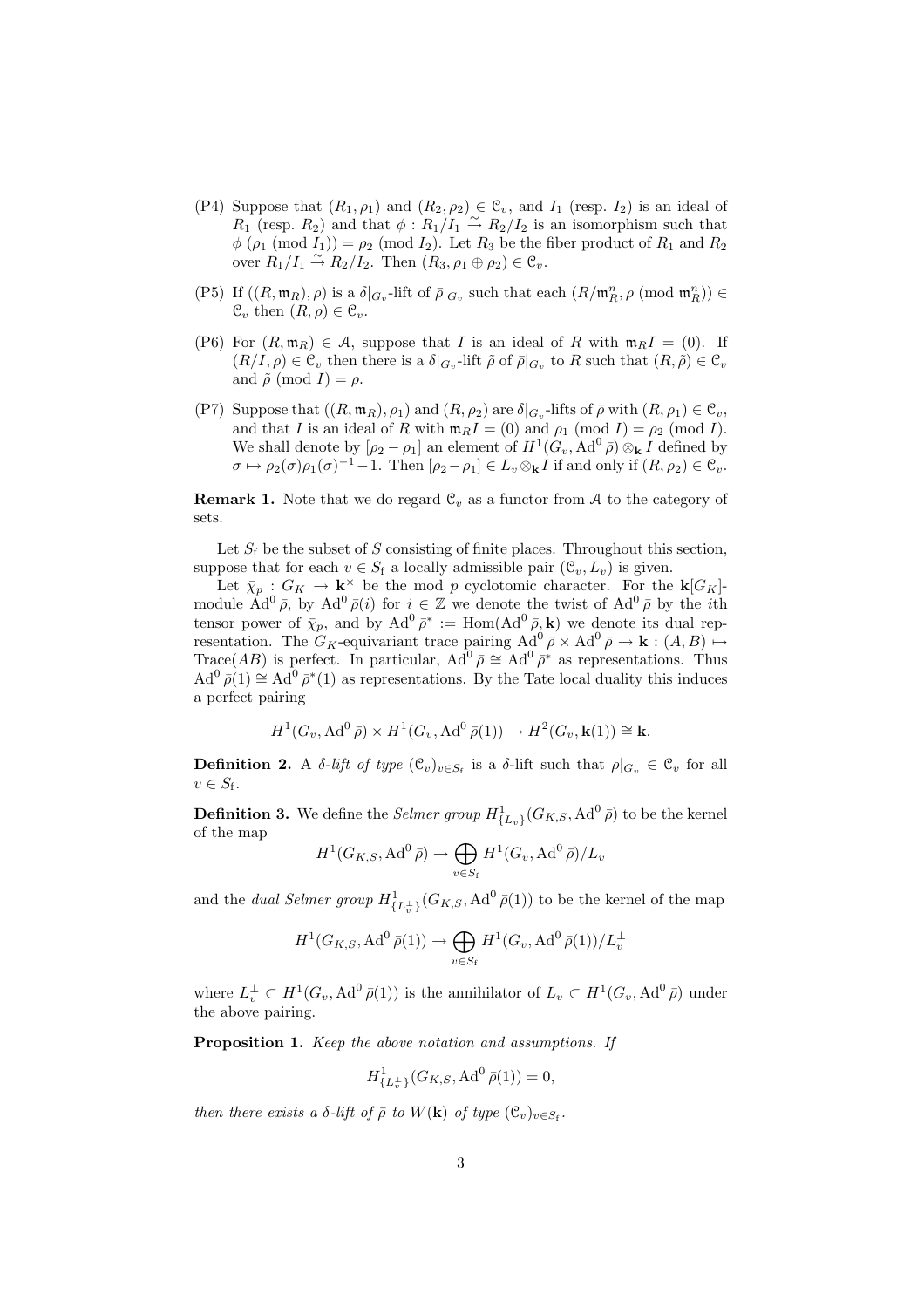- (P4) Suppose that  $(R_1, \rho_1)$  and  $(R_2, \rho_2) \in \mathcal{C}_v$ , and  $I_1$  (resp.  $I_2$ ) is an ideal of  $R_1$  (resp.  $R_2$ ) and that  $\phi: R_1/I_1 \stackrel{\sim}{\rightarrow} R_2/I_2$  is an isomorphism such that  $\phi$  ( $\rho_1$  (mod  $I_1$ )) =  $\rho_2$  (mod  $I_2$ ). Let  $R_3$  be the fiber product of  $R_1$  and  $R_2$ over  $R_1/I_1 \stackrel{\sim}{\rightarrow} R_2/I_2$ . Then  $(R_3, \rho_1 \oplus \rho_2) \in \mathcal{C}_v$ .
- (P5) If  $((R, \mathfrak{m}_R), \rho)$  is a  $\delta|_{G_v}$ -lift of  $\bar{\rho}|_{G_v}$  such that each  $(R/\mathfrak{m}_R^n, \rho \pmod{\mathfrak{m}_R^n}$ )  $\in$  $\mathcal{C}_v$  then  $(R, \rho) \in \mathcal{C}_v$ .
- (P6) For  $(R, \mathfrak{m}_R) \in \mathcal{A}$ , suppose that I is an ideal of R with  $\mathfrak{m}_R I = (0)$ . If  $(R/I, \rho) \in \mathcal{C}_v$  then there is a  $\delta|_{G_v}$ -lift  $\tilde{\rho}$  of  $\bar{\rho}|_{G_v}$  to R such that  $(R, \tilde{\rho}) \in \mathcal{C}_v$ and  $\tilde{\rho}$  (mod I) =  $\rho$ .
- (P7) Suppose that  $((R, \mathfrak{m}_R), \rho_1)$  and  $(R, \rho_2)$  are  $\delta|_{G_v}$ -lifts of  $\bar{\rho}$  with  $(R, \rho_1) \in \mathfrak{C}_v$ , and that I is an ideal of R with  $\mathfrak{m}_R I = (0)$  and  $\rho_1 \pmod{I} = \rho_2 \pmod{I}$ . We shall denote by  $[\rho_2 - \rho_1]$  an element of  $H^1(G_v, \operatorname{Ad}^0 \bar{\rho}) \otimes_{\mathbf{k}} I$  defined by  $\sigma \mapsto \rho_2(\sigma)\rho_1(\sigma)^{-1}-1$ . Then  $[\rho_2-\rho_1] \in L_v \otimes_{\mathbf{k}} I$  if and only if  $(R, \rho_2) \in \mathfrak{C}_v$ .

**Remark 1.** Note that we do regard  $\mathcal{C}_v$  as a functor from A to the category of sets.

Let  $S_f$  be the subset of S consisting of finite places. Throughout this section, suppose that for each  $v \in S_f$  a locally admissible pair  $(\mathcal{C}_v, L_v)$  is given.

Let  $\bar{\chi}_p : G_K \to \mathbf{k}^\times$  be the mod p cyclotomic character. For the  $\mathbf{k}[G_K]$ module  $\operatorname{Ad}^0\bar{\rho}$ , by  $\operatorname{Ad}^0\bar{\rho}(i)$  for  $i \in \mathbb{Z}$  we denote the twist of  $\operatorname{Ad}^0\bar{\rho}$  by the *i*th tensor power of  $\bar{\chi}_p$ , and by  $\text{Ad}^0 \bar{\rho}^* := \text{Hom}(\text{Ad}^0 \bar{\rho}, \mathbf{k})$  we denote its dual representation. The  $G_K$ -equivariant trace pairing  $\text{Ad}^0 \bar{\rho} \times \text{Ad}^0 \bar{\rho} \to \mathbf{k} : (A, B) \mapsto$ Trace(AB) is perfect. In particular,  $Ad^0 \bar{\rho} \cong Ad^0 \bar{\rho}^*$  as representations. Thus  $Ad^0 \bar{\rho}(1) \cong Ad^0 \bar{\rho}^*(1)$  as representations. By the Tate local duality this induces a perfect pairing

$$
H^1(G_v, \operatorname{Ad}^0 \bar{\rho}) \times H^1(G_v, \operatorname{Ad}^0 \bar{\rho}(1)) \to H^2(G_v, \mathbf{k}(1)) \cong \mathbf{k}.
$$

**Definition 2.** A δ-lift of type  $(\mathcal{C}_v)_{v \in S_f}$  is a δ-lift such that  $\rho|_{G_v} \in \mathcal{C}_v$  for all  $v \in S_f$ .

**Definition 3.** We define the *Selmer group*  $H_{\{L_v\}}^1(G_{K,S}, \text{Ad}^0\bar{\rho})$  to be the kernel of the map  $\sim$ 

$$
H^1(G_{K,S}, \text{Ad}^0\overline{\rho}) \to \bigoplus_{v \in S_f} H^1(G_v, \text{Ad}^0\overline{\rho})/L_v
$$

and the *dual Selmer group*  $H^1_{\{L_v^{\perp}\}}(G_{K,S}, \text{Ad}^0\,\bar{\rho}(1))$  to be the kernel of the map

$$
H^1(G_{K,S}, \mathrm{Ad}^0\,\bar{\rho}(1)) \to \bigoplus_{v \in S_{\mathrm{f}}} H^1(G_v, \mathrm{Ad}^0\,\bar{\rho}(1))/L_v^{\perp}
$$

where  $L_v^{\perp} \subset H^1(G_v, \operatorname{Ad}^0\bar{\rho}(1))$  is the annihilator of  $L_v \subset H^1(G_v, \operatorname{Ad}^0\bar{\rho})$  under the above pairing.

Proposition 1. Keep the above notation and assumptions. If

$$
H^1_{\{L_v^{\perp}\}}(G_{K,S}, \text{Ad}^0\,\bar{\rho}(1)) = 0,
$$

then there exists a  $\delta$ -lift of  $\bar{\rho}$  to  $W(\mathbf{k})$  of type  $(\mathcal{C}_v)_{v \in S_f}$ .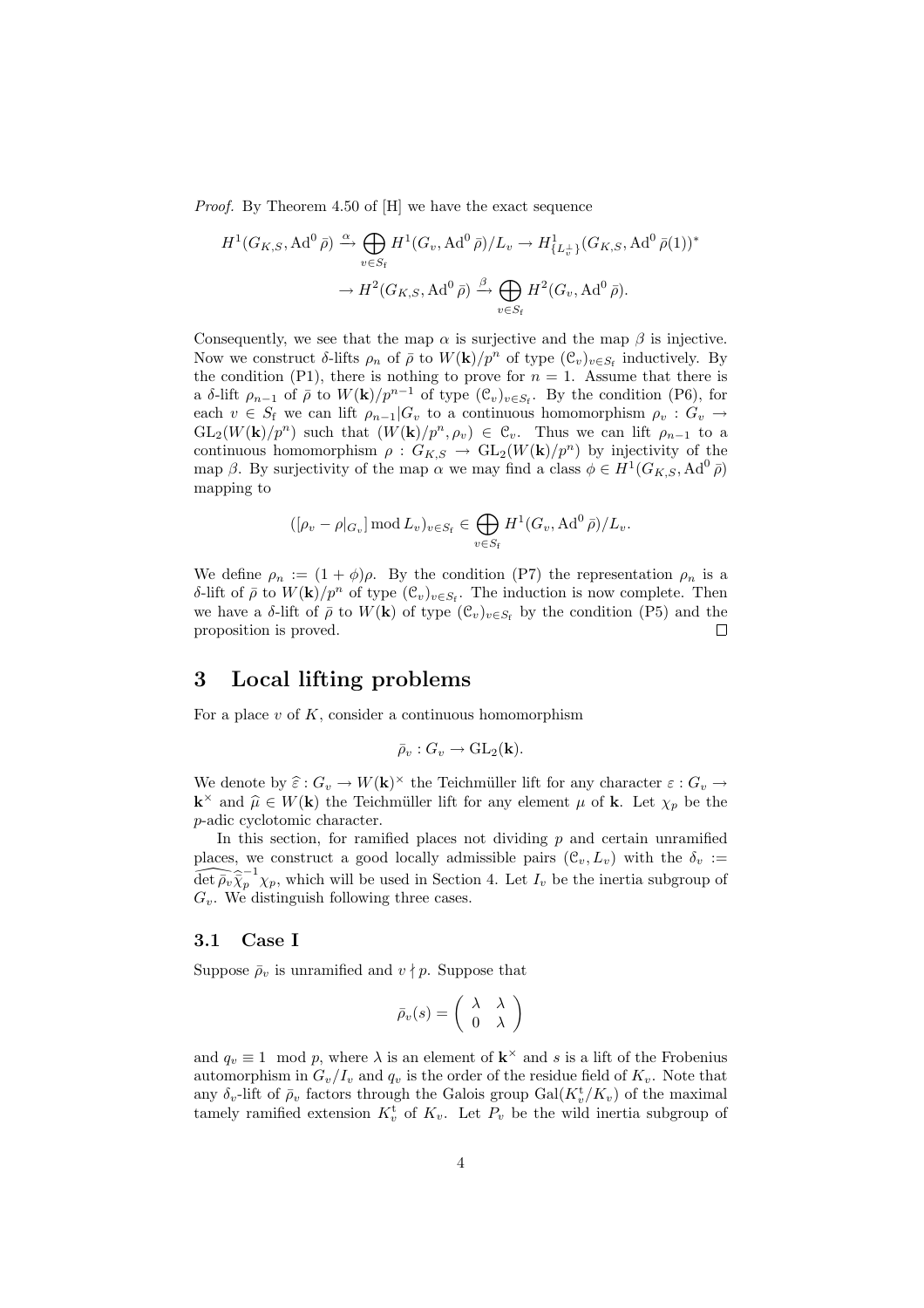Proof. By Theorem 4.50 of [H] we have the exact sequence

$$
H^1(G_{K,S}, \text{Ad}^0\,\bar{\rho}) \xrightarrow{\alpha} \bigoplus_{v\in S_{\mathrm{f}}} H^1(G_v, \text{Ad}^0\,\bar{\rho})/L_v \to H^1_{\{L_v^{\perp}\}}(G_{K,S}, \text{Ad}^0\,\bar{\rho}(1))^*
$$

$$
\to H^2(G_{K,S}, \text{Ad}^0\,\bar{\rho}) \xrightarrow{\beta} \bigoplus_{v\in S_{\mathrm{f}}} H^2(G_v, \text{Ad}^0\,\bar{\rho}).
$$

Consequently, we see that the map  $\alpha$  is surjective and the map  $\beta$  is injective. Now we construct  $\delta$ -lifts  $\rho_n$  of  $\bar{\rho}$  to  $W(\mathbf{k})/p^n$  of type  $(\mathcal{C}_v)_{v \in S_f}$  inductively. By the condition (P1), there is nothing to prove for  $n = 1$ . Assume that there is a δ-lift  $\rho_{n-1}$  of  $\bar{\rho}$  to  $W(\mathbf{k})/p^{n-1}$  of type  $(\mathcal{C}_v)_{v \in S_f}$ . By the condition (P6), for each  $v \in S_f$  we can lift  $\rho_{n-1}|G_v$  to a continuous homomorphism  $\rho_v : G_v \to$  $GL_2(W(\mathbf{k})/p^n)$  such that  $(W(\mathbf{k})/p^n, \rho_v) \in \mathfrak{C}_v$ . Thus we can lift  $\rho_{n-1}$  to a continuous homomorphism  $\rho: G_{K,S} \to GL_2(W(\mathbf{k})/p^n)$  by injectivity of the map β. By surjectivity of the map  $\alpha$  we may find a class  $\phi \in H^1(G_{K,S}, \text{Ad}^0 \bar{\rho})$ mapping to

$$
([\rho_v - \rho|_{G_v}] \bmod L_v)_{v \in S_f} \in \bigoplus_{v \in S_f} H^1(G_v, \text{Ad}^0 \bar{\rho})/L_v.
$$

We define  $\rho_n := (1 + \phi)\rho$ . By the condition (P7) the representation  $\rho_n$  is a δ-lift of  $\bar{\rho}$  to  $W(\mathbf{k})/p^n$  of type  $(\mathcal{C}_v)_{v \in S_f}$ . The induction is now complete. Then we have a δ-lift of  $\bar{\rho}$  to  $W(\mathbf{k})$  of type  $(\mathcal{C}_v)_{v \in S_f}$  by the condition (P5) and the proposition is proved.  $\Box$ 

# 3 Local lifting problems

For a place  $v$  of  $K$ , consider a continuous homomorphism

$$
\bar{\rho}_v: G_v \to \text{GL}_2(\mathbf{k}).
$$

We denote by  $\hat{\varepsilon}: G_v \to W(\mathbf{k})^{\times}$  the Teichmüller lift for any character  $\varepsilon: G_v \to W(\mathbf{k})^{\times}$  $\mathbf{k}^{\times}$  and  $\hat{\mu} \in W(\mathbf{k})$  the Teichmüller lift for any element  $\mu$  of **k**. Let  $\chi_p$  be the p-adic cyclotomic character.

In this section, for ramified places not dividing  $p$  and certain unramified places, we construct a good locally admissible pairs  $(\mathcal{C}_v, L_v)$  with the  $\delta_v :=$  $\widehat{\det p_v} \widehat{\chi}_p^{-1} \chi_p$ , which will be used in Section 4. Let  $I_v$  be the inertia subgroup of  $G_v$ . We distinguish following three cases.

#### 3.1 Case I

Suppose  $\bar{\rho}_v$  is unramified and  $v \nmid p$ . Suppose that

$$
\bar{\rho}_v(s) = \left(\begin{array}{cc} \lambda & \lambda \\ 0 & \lambda \end{array}\right)
$$

and  $q_v \equiv 1 \mod p$ , where  $\lambda$  is an element of  $\mathbf{k}^{\times}$  and s is a lift of the Frobenius automorphism in  $G_v/I_v$  and  $q_v$  is the order of the residue field of  $K_v$ . Note that any  $\delta_v$ -lift of  $\bar{\rho}_v$  factors through the Galois group  $Gal(K_v^{\mathbf{t}}/K_v)$  of the maximal tamely ramified extension  $K_v^t$  of  $K_v$ . Let  $P_v$  be the wild inertia subgroup of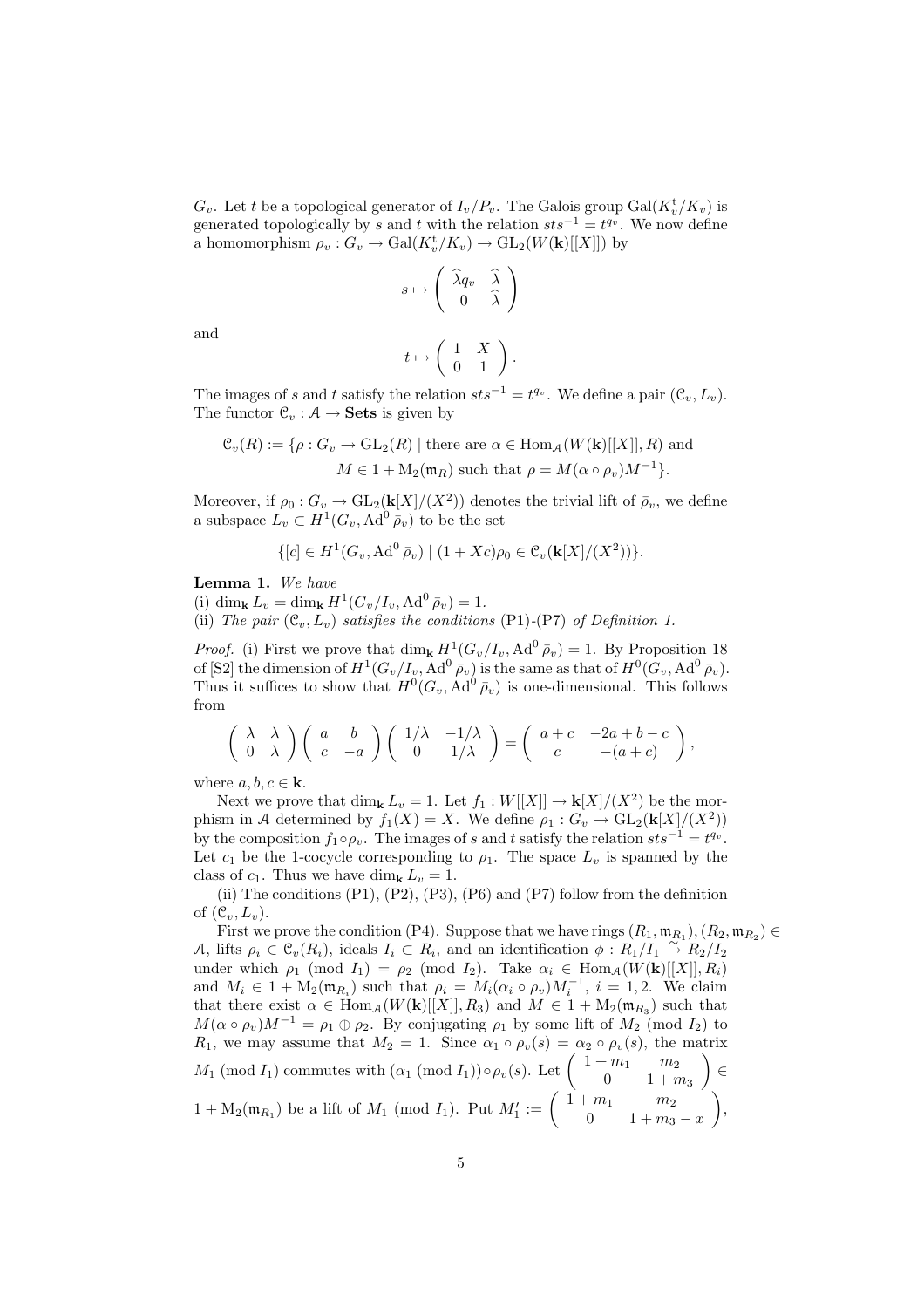$G_v$ . Let t be a topological generator of  $I_v/P_v$ . The Galois group  $Gal(K_v^{\mathbf{t}}/K_v)$  is generated topologically by s and t with the relation  $sts^{-1} = t^{q_v}$ . We now define a homomorphism  $\rho_v : G_v \to \text{Gal}(K_v^{\mathfrak{t}}/K_v) \to \text{GL}_2(W(\mathbf{k})[[X]])$  by

$$
s\mapsto \left(\begin{array}{cc} \widehat{\lambda}q_v & \widehat{\lambda}\\ 0 & \widehat{\lambda}\end{array}\right)
$$

and

$$
t \mapsto \left( \begin{array}{cc} 1 & X \\ 0 & 1 \end{array} \right).
$$

The images of s and t satisfy the relation  $sts^{-1} = t^{q_v}$ . We define a pair  $(\mathcal{C}_v, L_v)$ . The functor  $\mathcal{C}_v : \mathcal{A} \to \mathbf{Sets}$  is given by

$$
\mathcal{C}_v(R) := \{ \rho : G_v \to \mathrm{GL}_2(R) \mid \text{there are } \alpha \in \mathrm{Hom}_A(W(\mathbf{k})[[X]], R) \text{ and}
$$

$$
M \in 1 + \mathrm{M}_2(\mathfrak{m}_R) \text{ such that } \rho = M(\alpha \circ \rho_v)M^{-1} \}.
$$

Moreover, if  $\rho_0: G_v \to \mathrm{GL}_2(\mathbf{k}[X]/(X^2))$  denotes the trivial lift of  $\bar{\rho}_v$ , we define a subspace  $L_v \subset H^1(G_v, \operatorname{Ad}^0 \overline{\rho}_v)$  to be the set

$$
\{[c] \in H^1(G_v, \operatorname{Ad}^0 \bar{\rho}_v) \mid (1+Xc)\rho_0 \in C_v(\mathbf{k}[X]/(X^2))\}.
$$

Lemma 1. We have

(i) dim<sub>k</sub>  $L_v = \dim_k H^1(G_v/I_v, \text{Ad}^0 \bar{\rho}_v) = 1.$ 

(ii) The pair  $(\mathcal{C}_v, L_v)$  satisfies the conditions (P1)-(P7) of Definition 1.

*Proof.* (i) First we prove that  $\dim_{\mathbf{k}} H^1(G_v/I_v, \text{Ad}^0 \bar{\rho}_v) = 1$ . By Proposition 18 of [S2] the dimension of  $H^1(G_v/I_v, \operatorname{Ad}^0 \bar{\rho}_v)$  is the same as that of  $H^0(G_v, \operatorname{Ad}^0 \bar{\rho}_v)$ . Thus it suffices to show that  $H^0(G_v, \operatorname{Ad}^0 \bar{\rho}_v)$  is one-dimensional. This follows from

$$
\begin{pmatrix} \lambda & \lambda \\ 0 & \lambda \end{pmatrix} \begin{pmatrix} a & b \\ c & -a \end{pmatrix} \begin{pmatrix} 1/\lambda & -1/\lambda \\ 0 & 1/\lambda \end{pmatrix} = \begin{pmatrix} a+c & -2a+b-c \\ c & -(a+c) \end{pmatrix},
$$

where  $a, b, c \in \mathbf{k}$ .

Next we prove that  $\dim_{\mathbf{k}} L_v = 1$ . Let  $f_1 : W[[X]] \to \mathbf{k}[X]/(X^2)$  be the morphism in A determined by  $f_1(X) = X$ . We define  $\rho_1 : G_v \to GL_2(\mathbf{k}[X]/(X^2))$ by the composition  $f_1 \circ \rho_v$ . The images of s and t satisfy the relation  $sts^{-1} = t^{q_v}$ . Let  $c_1$  be the 1-cocycle corresponding to  $\rho_1$ . The space  $L_v$  is spanned by the class of  $c_1$ . Thus we have dim<sub>k</sub>  $L_v = 1$ .

(ii) The conditions (P1), (P2), (P3), (P6) and (P7) follow from the definition of  $(\mathcal{C}_v, L_v)$ .

First we prove the condition (P4). Suppose that we have rings  $(R_1, \mathfrak{m}_{R_1}), (R_2, \mathfrak{m}_{R_2}) \in$ A, lifts  $\rho_i \in \mathcal{C}_v(R_i)$ , ideals  $I_i \subset R_i$ , and an identification  $\phi : R_1/I_1 \stackrel{\sim}{\rightarrow} R_2/I_2$ under which  $\rho_1$  (mod  $I_1$ ) =  $\rho_2$  (mod  $I_2$ ). Take  $\alpha_i \in \text{Hom}_{\mathcal{A}}(W(\mathbf{k})[[X]], R_i)$ and  $M_i \in 1 + M_2(\mathfrak{m}_{R_i})$  such that  $\rho_i = M_i(\alpha_i \circ \rho_v)M_i^{-1}, i = 1, 2$ . We claim that there exist  $\alpha \in \text{Hom}_{\mathcal{A}}(W(\mathbf{k})[[X]], R_3)$  and  $M \in 1 + M_2(\mathfrak{m}_{R_3})$  such that  $M(\alpha \circ \rho_v)M^{-1} = \rho_1 \oplus \rho_2$ . By conjugating  $\rho_1$  by some lift of  $M_2$  (mod  $I_2$ ) to  $R_1$ , we may assume that  $M_2 = 1$ . Since  $\alpha_1 \circ \rho_v(s) = \alpha_2 \circ \rho_v(s)$ , the matrix  $M_1$ , we may assume that  $M_2 = 1$ . Since  $\alpha_1 \circ \rho_v(s) = \alpha_2 \circ \rho_v(s)$ , the<br>  $M_1 \pmod{I_1}$  commutes with  $(\alpha_1 \pmod{I_1}) \circ \rho_v(s)$ . Let  $\begin{pmatrix} 1+m_1 & m_2 \\ 0 & 1+r_1 \end{pmatrix}$  $\begin{pmatrix} m_1 & m_2 \\ 0 & 1 + m_3 \end{pmatrix} \in$  $1 + M_2(m_{R_1})$  be a lift of  $M_1$  (mod  $I_1$ ). Put  $M'_1 := \begin{pmatrix} 0 & 1+n_1 & m_2 \\ 1+m_1 & m_2 & 1+m_1 \\ 0 & 1+m_1 & m_2 \end{pmatrix}$ 0  $1 + m_3 - x$  $\mathbf{r}$ ,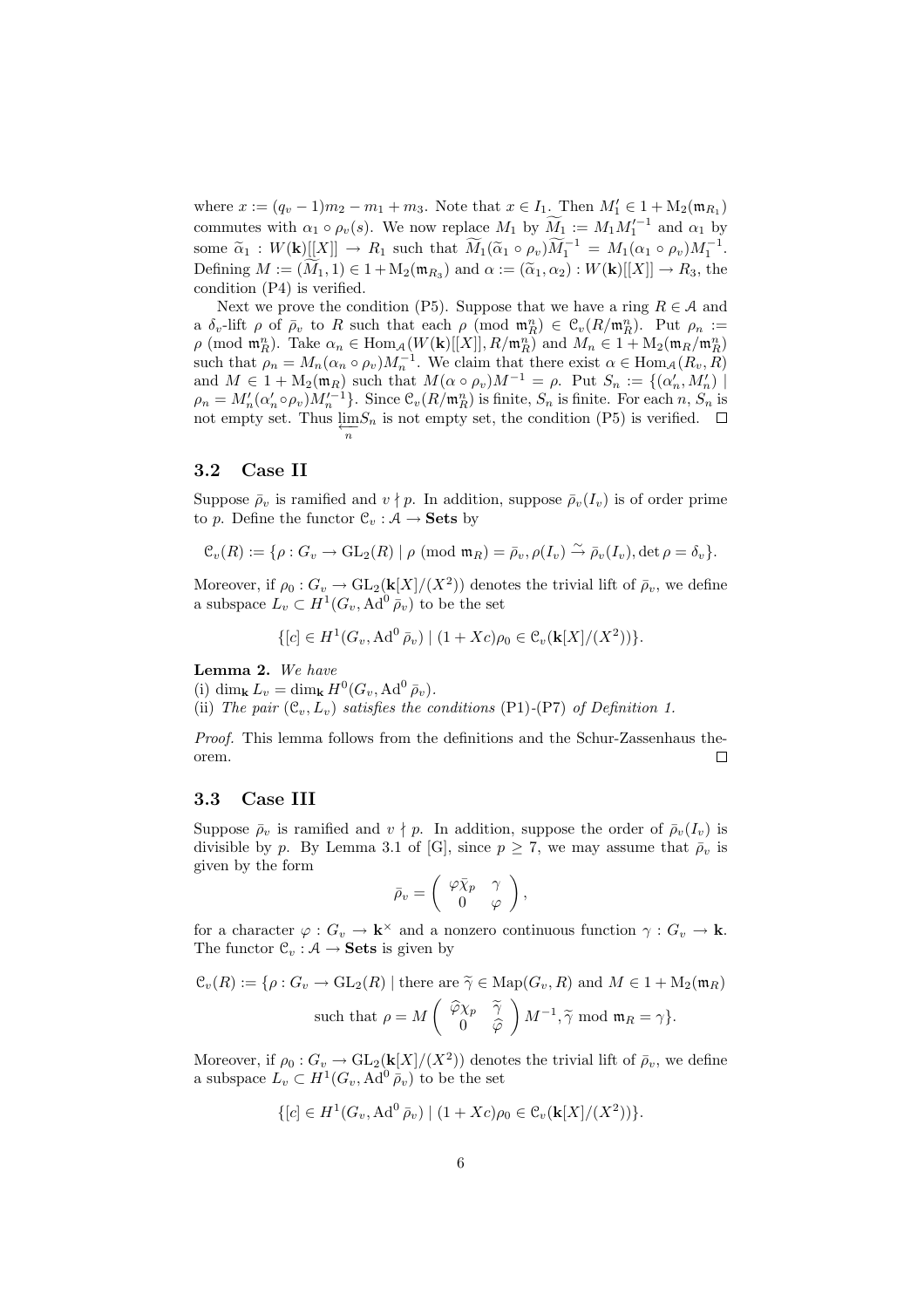where  $x := (q_v - 1)m_2 - m_1 + m_3$ . Note that  $x \in I_1$ . Then  $M'_1 \in 1 + M_2(\mathfrak{m}_{R_1})$ commutes with  $\alpha_1 \circ \rho_v(s)$ . We now replace  $M_1$  by  $\widetilde{M}_1 := M_1 M_1'^{-1}$  and  $\alpha_1$  by some  $\widetilde{\alpha}_1 : W(\mathbf{k})[[X]] \to R_1$  such that  $\widetilde{M}_1(\widetilde{\alpha}_1 \circ \rho_v) \widetilde{M}_1^{-1} = M_1(\alpha_1 \circ \rho_v) M_1^{-1}$ . Defining  $M := (\widetilde{M}_1, 1) \in 1 + M_2(\mathfrak{m}_{R_3})$  and  $\alpha := (\widetilde{\alpha}_1, \alpha_2) : W(\mathbf{k})[[X]] \to R_3$ , the condition (P4) is verified.

Next we prove the condition (P5). Suppose that we have a ring  $R \in \mathcal{A}$  and a  $\delta_v$ -lift  $\rho$  of  $\bar{\rho}_v$  to R such that each  $\rho$  (mod  $\mathfrak{m}_R^n$ )  $\in \mathfrak{C}_v(R/\mathfrak{m}_R^n)$ . Put  $\rho_n :=$  $\rho \pmod{\mathfrak{m}_{R}^n}$ . Take  $\alpha_n \in \text{Hom}_{\mathcal{A}}(W(\mathbf{k})[[X]], R/\mathfrak{m}_{R}^n)$  and  $M_n \in 1 + M_2(\mathfrak{m}_{R}/\mathfrak{m}_{R}^n)$ such that  $\rho_n = M_n(\alpha_n \circ \rho_v) M_n^{-1}$ . We claim that there exist  $\alpha \in \text{Hom}_{\mathcal{A}}(R_v, R)$ and  $M \in 1 + M_2(\mathfrak{m}_R)$  such that  $M(\alpha \circ \rho_v)M^{-1} = \rho$ . Put  $S_n := \{(\alpha'_n, M'_n) \mid$  $\rho_n = M'_n(\alpha'_n \circ \rho_v) M'_n^{-1}$ . Since  $\mathfrak{C}_v(R/\mathfrak{m}_R^n)$  is finite,  $S_n$  is finite. For each  $n, S_n$  is not empty set. Thus  $\lim_{n \to \infty} S_n$  is not empty set, the condition (P5) is verified.

### 3.2 Case II

Suppose  $\bar{\rho}_v$  is ramified and  $v \nmid p$ . In addition, suppose  $\bar{\rho}_v(I_v)$  is of order prime to p. Define the functor  $\mathcal{C}_v : \mathcal{A} \to \mathbf{Sets}$  by

$$
\mathcal{C}_v(R) := \{ \rho: G_v \to \mathrm{GL}_2(R) \mid \rho \pmod{\mathfrak{m}_R} = \bar{\rho}_v, \rho(I_v) \xrightarrow{\sim} \bar{\rho}_v(I_v), \det \rho = \delta_v \}.
$$

Moreover, if  $\rho_0: G_v \to \text{GL}_2(\mathbf{k}[X]/(X^2))$  denotes the trivial lift of  $\bar{\rho}_v$ , we define a subspace  $L_v \subset H^1(G_v, \operatorname{Ad}^0 \overline{\rho}_v)$  to be the set

$$
\{ [c] \in H^1(G_v, \operatorname{Ad}^0 \bar{\rho}_v) \mid (1 + Xc)\rho_0 \in C_v(\mathbf{k}[X]/(X^2)) \}.
$$

Lemma 2. We have

(i) dim<sub>k</sub>  $L_v = \dim_{\mathbf{k}} H^0(G_v, \operatorname{Ad}^0 \bar{\rho}_v).$ 

(ii) The pair  $(\mathcal{C}_v, L_v)$  satisfies the conditions (P1)-(P7) of Definition 1.

Proof. This lemma follows from the definitions and the Schur-Zassenhaus theorem.  $\Box$ 

#### 3.3 Case III

Suppose  $\bar{\rho}_v$  is ramified and  $v \nmid p$ . In addition, suppose the order of  $\bar{\rho}_v(I_v)$  is divisible by p. By Lemma 3.1 of [G], since  $p \geq 7$ , we may assume that  $\bar{\rho}_v$  is given by the form  $\overline{a}$  $\mathbf{r}$ 

$$
\bar{\rho}_v = \left( \begin{array}{cc} \varphi \bar{\chi}_p & \gamma \\ 0 & \varphi \end{array} \right),
$$

for a character  $\varphi: G_v \to \mathbf{k}^\times$  and a nonzero continuous function  $\gamma: G_v \to \mathbf{k}$ . The functor  $\mathcal{C}_v : \mathcal{A} \to \mathbf{Sets}$  is given by

$$
\mathcal{C}_v(R) := \{ \rho : G_v \to \mathrm{GL}_2(R) \mid \text{there are } \tilde{\gamma} \in \mathrm{Map}(G_v, R) \text{ and } M \in 1 + M_2(\mathfrak{m}_R)
$$
  
such that  $\rho = M \begin{pmatrix} \tilde{\varphi} \chi_p & \tilde{\gamma} \\ 0 & \tilde{\varphi} \end{pmatrix} M^{-1}, \tilde{\gamma} \text{ mod } \mathfrak{m}_R = \gamma \}.$ 

Moreover, if  $\rho_0: G_v \to GL_2(\mathbf{k}[X]/(X^2))$  denotes the trivial lift of  $\bar{\rho}_v$ , we define a subspace  $L_v \subset H^1(G_v, \operatorname{Ad}^0 \bar{\rho}_v)$  to be the set

$$
\{ [c] \in H^1(G_v, \mathrm{Ad}^0 \bar{\rho}_v) \mid (1+Xc)\rho_0 \in \mathcal{C}_v(\mathbf{k}[X]/(X^2)) \}.
$$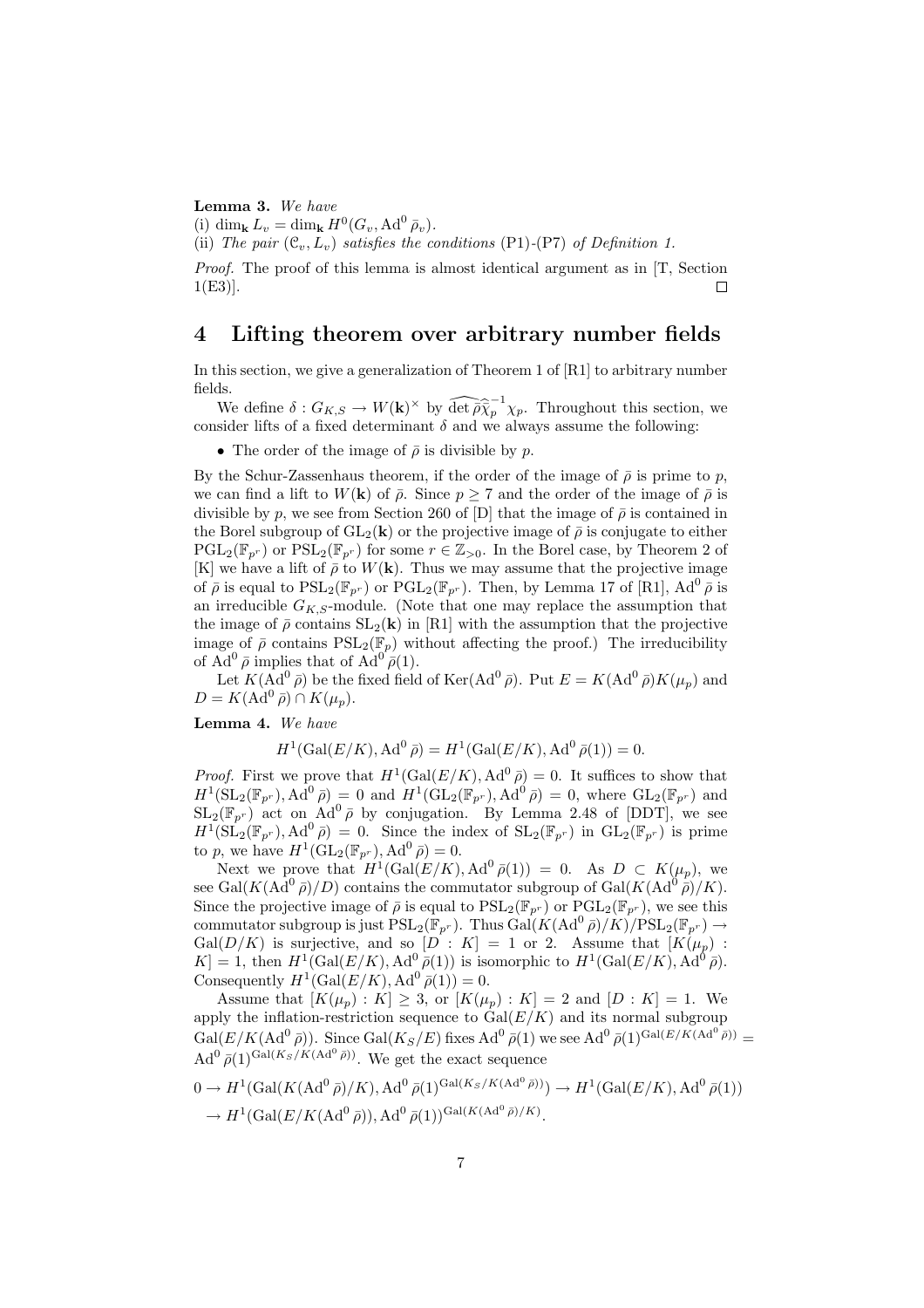Lemma 3. We have

(i) dim<sub>k</sub>  $L_v = \dim_{\mathbf{k}} H^0(G_v, \text{Ad}^0 \bar{\rho}_v).$ 

(ii) The pair  $(\mathcal{C}_v, L_v)$  satisfies the conditions (P1)-(P7) of Definition 1.

Proof. The proof of this lemma is almost identical argument as in [T, Section 1(E3)]. П

# 4 Lifting theorem over arbitrary number fields

In this section, we give a generalization of Theorem 1 of [R1] to arbitrary number fields.

We define  $\delta: G_{K,S} \to W(\mathbf{k})^{\times}$  by  $\widehat{\det} \overline{\widehat{\rho}} \widehat{\overline{\chi}}^{-1}_{p} \chi_{p}$ . Throughout this section, we consider lifts of a fixed determinant  $\delta$  and we always assume the following:

• The order of the image of  $\bar{\rho}$  is divisible by p.

By the Schur-Zassenhaus theorem, if the order of the image of  $\bar{\rho}$  is prime to p, we can find a lift to  $W(\mathbf{k})$  of  $\bar{\rho}$ . Since  $p \geq 7$  and the order of the image of  $\bar{\rho}$  is divisible by p, we see from Section 260 of [D] that the image of  $\bar{\rho}$  is contained in the Borel subgroup of  $GL_2(k)$  or the projective image of  $\bar{\rho}$  is conjugate to either  $PGL_2(\mathbb{F}_{p^r})$  or  $PSL_2(\mathbb{F}_{p^r})$  for some  $r \in \mathbb{Z}_{>0}$ . In the Borel case, by Theorem 2 of [K] we have a lift of  $\bar{\rho}$  to  $W(\mathbf{k})$ . Thus we may assume that the projective image of  $\bar{\rho}$  is equal to  $PSL_2(\mathbb{F}_{p^r})$  or  $PGL_2(\mathbb{F}_{p^r})$ . Then, by Lemma 17 of [R1], Ad<sup>0</sup>  $\bar{\rho}$  is an irreducible  $G_{K,S}$ -module. (Note that one may replace the assumption that the image of  $\bar{\rho}$  contains  $SL_2(\mathbf{k})$  in [R1] with the assumption that the projective image of  $\bar{\rho}$  contains  $PSL_2(\mathbb{F}_p)$  without affecting the proof.) The irreducibility of  $\text{Ad}^0 \bar{\rho}$  implies that of  $\text{Ad}^{0'} \bar{\rho}(1)$ .

Let  $K(\overline{\mathrm{Ad}}^0 \bar{\rho})$  be the fixed field of  $\mathrm{Ker}(\mathrm{Ad}^0 \bar{\rho})$ . Put  $E = K(\mathrm{Ad}^0 \bar{\rho})K(\mu_p)$  and  $D = K(\text{Ad}^0 \bar{\rho}) \cap K(\mu_p).$ 

Lemma 4. We have

$$
H^{1}(\text{Gal}(E/K), \text{Ad}^{0}\bar{\rho}) = H^{1}(\text{Gal}(E/K), \text{Ad}^{0}\bar{\rho}(1)) = 0.
$$

*Proof.* First we prove that  $H^1(\text{Gal}(E/K), \text{Ad}^0\bar{\rho}) = 0$ . It suffices to show that  $H^1(\mathrm{SL}_2(\mathbb{F}_{p^r}), \mathrm{Ad}^0\,\bar{\rho}) = 0$  and  $H^1(\mathrm{GL}_2(\mathbb{F}_{p^r}), \mathrm{Ad}^0\,\bar{\rho}) = 0$ , where  $\mathrm{GL}_2(\mathbb{F}_{p^r})$  and  $SL_2(\mathbb{F}_{p^r})$  act on  $Ad^0\bar{\rho}$  by conjugation. By Lemma 2.48 of [DDT], we see  $H^1(\mathrm{SL}_2(\mathbb{F}_{p^r}), \mathrm{Ad}^0\,\bar{\rho})\,=\,0.$  Since the index of  $\mathrm{SL}_2(\mathbb{F}_{p^r})$  in  $\mathrm{GL}_2(\mathbb{F}_{p^r})$  is prime to p, we have  $H^1(\mathrm{GL}_2(\mathbb{F}_{p^r}), \mathrm{Ad}^0 \bar{\rho}) = 0.$ 

Next we prove that  $H^1(\text{Gal}(E/K), \text{Ad}^0\,\bar{\rho}(1)) = 0$ . As  $D \subset K(\mu_p)$ , we see Gal( $K(\text{Ad}^0 \bar{\rho})/D$ ) contains the commutator subgroup of Gal( $K(\text{Ad}^0 \bar{\rho})/K$ ). Since the projective image of  $\bar{\rho}$  is equal to  $PSL_2(\mathbb{F}_{p^r})$  or  $PGL_2(\mathbb{F}_{p^r})$ , we see this commutator subgroup is just  $PSL_2(\mathbb{F}_{p^r})$ . Thus  $Gal(K(\mathrm{Ad}^0\bar{\rho})/K)/PSL_2(\mathbb{F}_{p^r}) \rightarrow$ Gal( $D/K$ ) is surjective, and so  $[D: K] = 1$  or 2. Assume that  $[K(\mu_p)$ :  $K = 1$ , then  $H^1(\text{Gal}(E/K), \text{Ad}^0\overline{\rho}(1))$  is isomorphic to  $H^1(\text{Gal}(E/K), \text{Ad}^0\overline{\rho})$ . Consequently  $H^1(\text{Gal}(E/K), \text{Ad}^0\overline{\rho}(1)) = 0.$ 

Assume that  $[K(\mu_p): K] \geq 3$ , or  $[K(\mu_p): K] = 2$  and  $[D: K] = 1$ . We apply the inflation-restriction sequence to  $Gal(E/K)$  and its normal subgroup  $Gal(E/K(\text{Ad}^0\bar{\rho}))$ . Since  $Gal(K_S/E)$  fixes  $\text{Ad}^0\bar{\rho}(1)$  we see  $\text{Ad}^0\bar{\rho}(1)^{\text{Gal}(E/K(\text{Ad}^0\bar{\rho}))}$  =  $\text{Ad}^0 \bar{\rho}(1)^{\text{Gal}(K_S/K(\text{Ad}^0 \bar{\rho}))}$ . We get the exact sequence

$$
0 \to H^1(\text{Gal}(K(\text{Ad}^0 \bar{\rho})/K), \text{Ad}^0 \bar{\rho}(1)^{\text{Gal}(K_S/K(\text{Ad}^0 \bar{\rho}))}) \to H^1(\text{Gal}(E/K), \text{Ad}^0 \bar{\rho}(1))
$$
  

$$
\to H^1(\text{Gal}(E/K(\text{Ad}^0 \bar{\rho})), \text{Ad}^0 \bar{\rho}(1))^{\text{Gal}(K(\text{Ad}^0 \bar{\rho})/K)}.
$$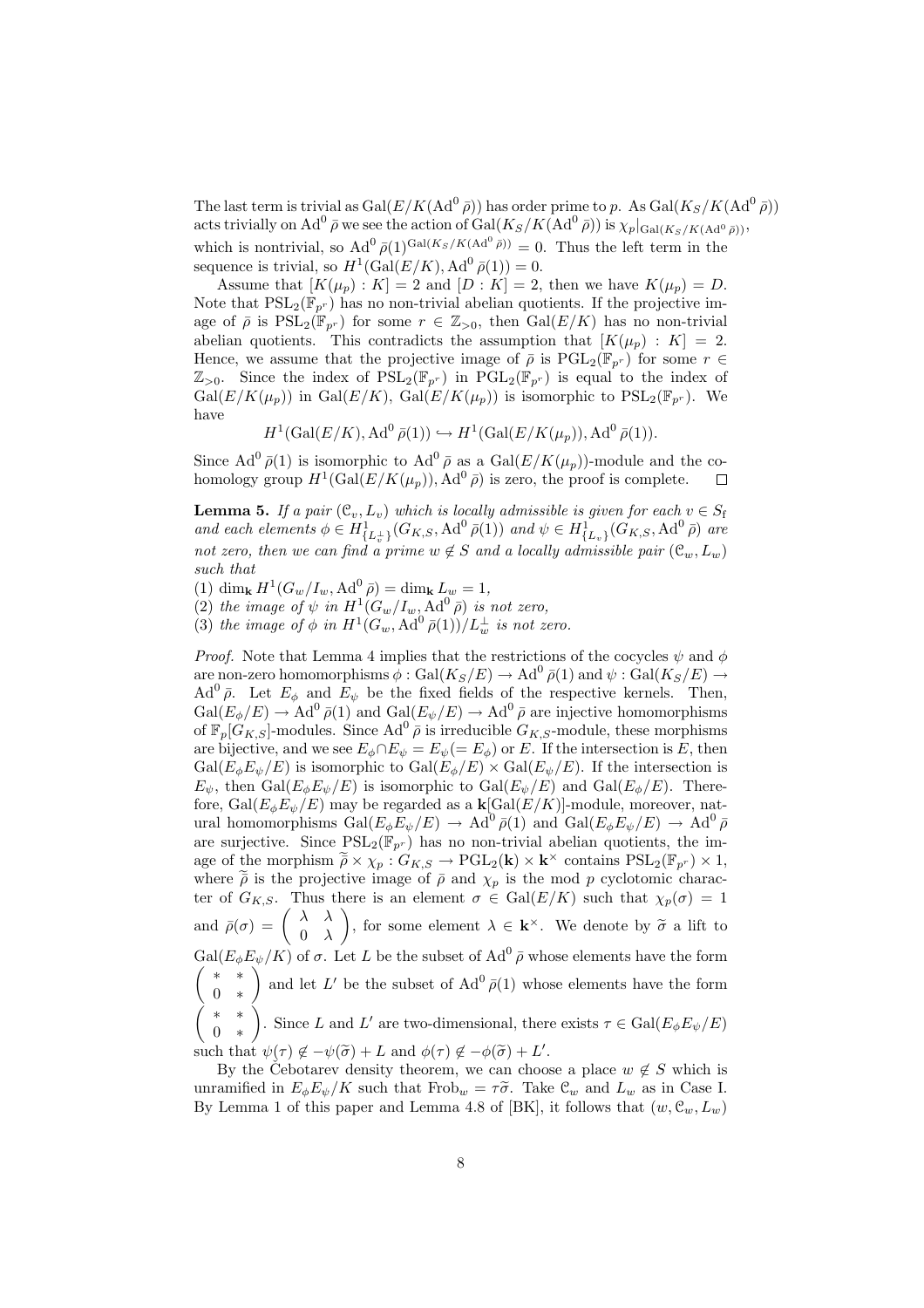The last term is trivial as  $Gal(E/K(\text{Ad}^0\bar{\rho}))$  has order prime to p. As  $Gal(K_S/K(\text{Ad}^0\bar{\rho}))$ acts trivially on Ad<sup>0</sup>  $\bar{\rho}$  we see the action of Gal( $K_S/K(\mathrm{Ad}^0\bar{\rho})$ ) is  $\chi_p|_{\mathrm{Gal}(K_S/K(\mathrm{Ad}^0\bar{\rho}))}$ , which is nontrivial, so  $\text{Ad}^0 \bar{\rho}(1)^{\text{Gal}(K_S/K(\text{Ad}^0 \bar{\rho}))} = 0$ . Thus the left term in the sequence is trivial, so  $H^1(\text{Gal}(E/K), \text{Ad}^0\overline{\rho}(1)) = 0.$ 

Assume that  $[K(\mu_p): K] = 2$  and  $[D: K] = 2$ , then we have  $K(\mu_p) = D$ . Note that  $PSL_2(\mathbb{F}_{p^r})$  has no non-trivial abelian quotients. If the projective image of  $\bar{\rho}$  is  $PSL_2(\mathbb{F}_{p^r})$  for some  $r \in \mathbb{Z}_{>0}$ , then  $Gal(E/K)$  has no non-trivial abelian quotients. This contradicts the assumption that  $[K(\mu_p) : K] = 2$ . Hence, we assume that the projective image of  $\bar{\rho}$  is  $PGL_2(\mathbb{F}_{p^r})$  for some  $r \in$  $\mathbb{Z}_{>0}$ . Since the index of  $PSL_2(\mathbb{F}_{p^r})$  in  $PGL_2(\mathbb{F}_{p^r})$  is equal to the index of  $Gal(E/K(\mu_p))$  in  $Gal(E/K), Gal(E/K(\mu_p))$  is isomorphic to  $PSL_2(\mathbb{F}_{p^r})$ . We have

$$
H^1(\text{Gal}(E/K), \text{Ad}^0\,\bar{\rho}(1)) \hookrightarrow H^1(\text{Gal}(E/K(\mu_p)), \text{Ad}^0\,\bar{\rho}(1)).
$$

Since  $\text{Ad}^0 \bar{\rho}(1)$  is isomorphic to  $\text{Ad}^0 \bar{\rho}$  as a  $\text{Gal}(E/K(\mu_p))$ -module and the cohomology group  $H^1(\text{Gal}(E/K(\mu_p)), \text{Ad}^0\bar{\rho})$  is zero, the proof is complete.  $\Box$ 

**Lemma 5.** If a pair  $(\mathcal{C}_v, L_v)$  which is locally admissible is given for each  $v \in S_f$ and each elements  $\phi \in H^1_{\{L_v^+\}}(G_{K,S}, \text{Ad}^0\overline{\rho}(1))$  and  $\psi \in H^1_{\{L_v\}}(G_{K,S}, \text{Ad}^0\overline{\rho})$  are not zero, then we can find a prime  $w \notin S$  and a locally admissible pair  $(\mathcal{C}_w, L_w)$ such that

(1) dim<sub>k</sub>  $H^1(G_w/I_w, \text{Ad}^0 \bar{\rho}) = \dim_{\mathbf{k}} L_w = 1$ ,

(2) the image of  $\psi$  in  $H^1(G_w/I_w, \text{Ad}^0\bar{\rho})$  is not zero,

(3) the image of  $\phi$  in  $H^1(G_w, \operatorname{Ad}^0\bar{\rho}(1))/L_w^{\perp}$  is not zero.

*Proof.* Note that Lemma 4 implies that the restrictions of the cocycles  $\psi$  and  $\phi$ are non-zero homomorphisms  $\phi: \operatorname{Gal}(K_S/E) \to \operatorname{Ad}^0\bar{\rho}(1)$  and  $\psi: \operatorname{Gal}(K_S/E) \to$  $\text{Ad}^0 \bar{\rho}$ . Let  $E_{\phi}$  and  $E_{\psi}$  be the fixed fields of the respective kernels. Then,  $Gal(E_{\phi}/E) \rightarrow Ad^0 \bar{\rho}(1)$  and  $Gal(E_{\psi}/E) \rightarrow Ad^0 \bar{\rho}$  are injective homomorphisms of  $\mathbb{F}_p[G_{K,S}]$ -modules. Since  $Ad^0 \bar{\rho}$  is irreducible  $G_{K,S}$ -module, these morphisms are bijective, and we see  $E_{\phi} \cap E_{\psi} = E_{\psi} (= E_{\phi})$  or E. If the intersection is E, then  $Gal(E_{\phi}E_{\psi}/E)$  is isomorphic to  $Gal(E_{\phi}/E) \times Gal(E_{\psi}/E)$ . If the intersection is  $E_{\psi}$ , then  $Gal(E_{\phi}E_{\psi}/E)$  is isomorphic to  $Gal(E_{\psi}/E)$  and  $Gal(E_{\phi}/E)$ . Therefore,  $Gal(E_{\phi}E_{\psi}/E)$  may be regarded as a  $\mathbf{k}[Gal(E/K)]$ -module, moreover, natural homomorphisms  $Gal(E_{\phi}E_{\psi}/E) \rightarrow Ad^0\bar{\rho}(1)$  and  $Gal(E_{\phi}E_{\psi}/E) \rightarrow Ad^0\bar{\rho}$ are surjective. Since  $PSL_2(\mathbb{F}_{p^r})$  has no non-trivial abelian quotients, the image of the morphism  $\widetilde{\bar{\rho}} \times \chi_p : G_{K,S} \to \mathrm{PGL}_2(\mathbf{k}) \times \mathbf{k}^\times$  contains  $\mathrm{PSL}_2(\mathbb{F}_{p^r}) \times 1$ , where  $\tilde{\rho}$  is the projective image of  $\bar{\rho}$  and  $\chi_p$  is the mod p cyclotomic character of  $G_{K,S}$ . Thus there is an element  $\sigma \in \text{Gal}(E/K)$  such that  $\chi_p(\sigma) = 1$ ter or  $G_{K,S}$ . Thus<br>and  $\bar{\rho}(\sigma) = \begin{pmatrix} \lambda & \lambda \\ 0 & \lambda \end{pmatrix}$  $\begin{pmatrix} \lambda & \lambda \\ 0 & \lambda \end{pmatrix}$ , for some element  $\lambda \in \mathbf{k}^{\times}$ . We denote by  $\widetilde{\sigma}$  a lift to  $Gal(E_{\phi}E_{\psi}/K)$  of  $\sigma$ . Let L be the subset of  $Ad^{0} \bar{\rho}$  whose elements have the form ∗ ∗  $\begin{pmatrix} * & * \\ 0 & * \end{pmatrix}$  and let L' be the subset of Ad<sup>0</sup>  $\bar{\rho}(1)$  whose elements have the form µ ∗ ∗ 0 ∗  $\langle$ . Since L and L' are two-dimensional, there exists  $\tau \in \text{Gal}(E_{\phi}E_{\psi}/E)$ such that  $\psi(\tau) \notin -\psi(\tilde{\sigma}) + L$  and  $\phi(\tau) \notin -\phi(\tilde{\sigma}) + L'$ .

By the Cebotarev density theorem, we can choose a place  $w \notin S$  which is unramified in  $E_{\phi}E_{\psi}/K$  such that Frob<sub>w</sub> =  $\tau\tilde{\sigma}$ . Take  $\mathcal{C}_{w}$  and  $L_{w}$  as in Case I. By Lemma 1 of this paper and Lemma 4.8 of [BK], it follows that  $(w, \mathcal{C}_w, L_w)$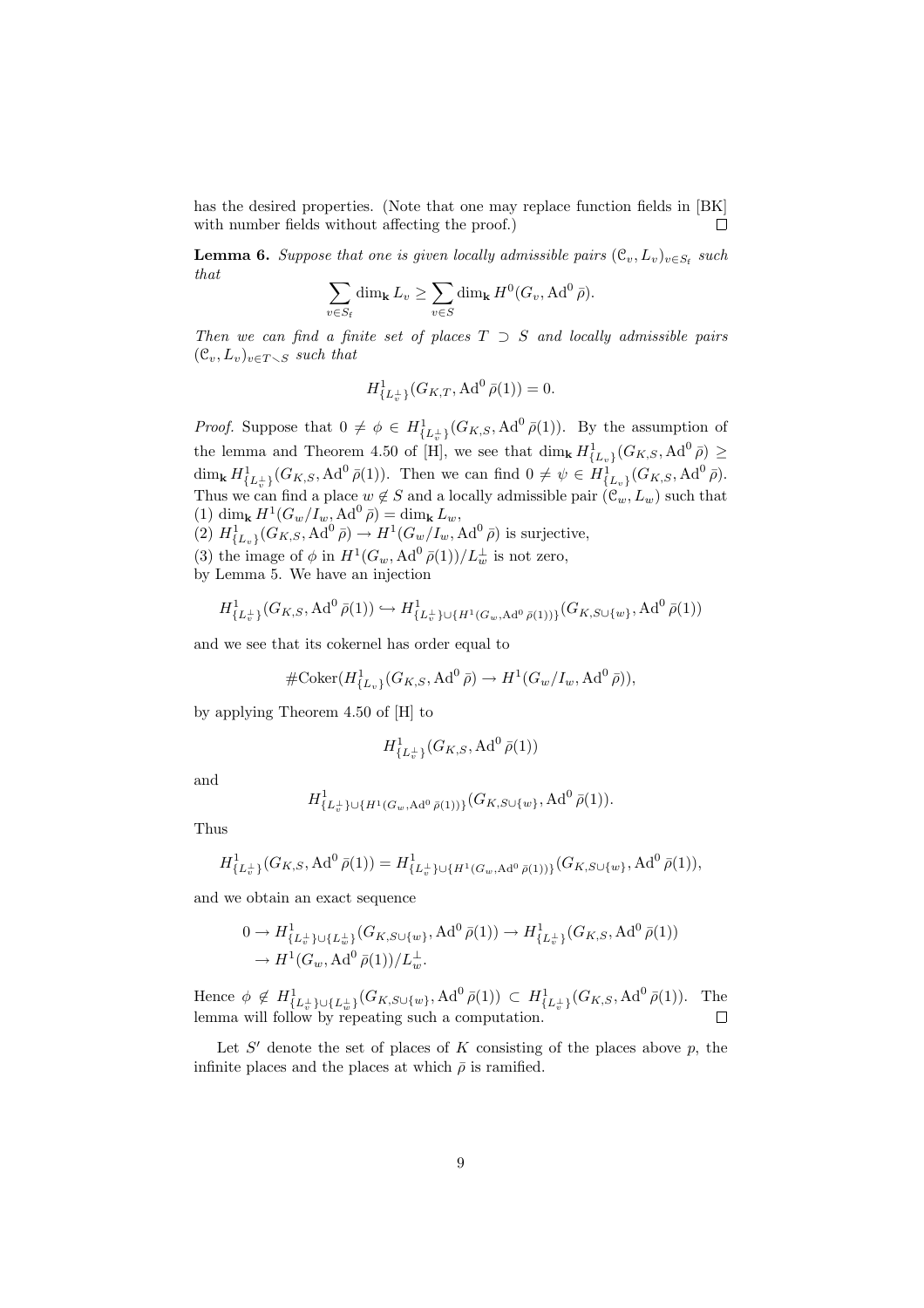has the desired properties. (Note that one may replace function fields in [BK] with number fields without affecting the proof.)  $\Box$ 

**Lemma 6.** Suppose that one is given locally admissible pairs  $(\mathcal{C}_v, L_v)_{v \in S_f}$  such that  $\overline{\phantom{a}}$  $\overline{\phantom{a}}$ 

$$
\sum_{v \in S_{\rm f}} \dim_{\mathbf{k}} L_v \ge \sum_{v \in S} \dim_{\mathbf{k}} H^0(G_v, \text{Ad}^0 \bar{\rho}).
$$

Then we can find a finite set of places  $T \supset S$  and locally admissible pairs  $(\mathcal{C}_v, L_v)_{v \in T \setminus S}$  such that

$$
H^1_{\{L_v^{\perp}\}}(G_{K,T}, \text{Ad}^0\,\bar{\rho}(1)) = 0.
$$

*Proof.* Suppose that  $0 \neq \phi \in H^1_{\{L_v^{\perp}\}}(G_{K,S}, \text{Ad}^0\overline{\rho}(1))$ . By the assumption of the lemma and Theorem 4.50 of [H], we see that  $\dim_{\mathbf k} H^1_{\{L_v\}}(G_{K,S}, \operatorname{Ad}^0 \bar{\rho}) \geq$ dim<sub>k</sub>  $H^1_{\{L_v^{\perp}\}}(G_{K,S}, \operatorname{Ad}^0\bar{\rho}(1))$ . Then we can find  $0 \neq \psi \in H^1_{\{L_v\}}(G_{K,S}, \operatorname{Ad}^0\bar{\rho})$ . Thus we can find a place  $w \notin S$  and a locally admissible pair  $(\mathcal{C}_w, L_w)$  such that (1) dim<sub>k</sub>  $H^1(G_w/I_w, \text{Ad}^0\bar{\rho}) = \dim_{\mathbf{k}} L_w,$  $(2)$   $H^1_{\{L_v\}}(G_{K,S}, \text{Ad}^0\bar{\rho}) \to H^1(G_w/I_w, \text{Ad}^0\bar{\rho})$  is surjective,

(3) the image of  $\phi$  in  $H^1(G_w, \operatorname{Ad}^0 \bar{\rho}(1))/L_w^{\perp}$  is not zero, by Lemma 5. We have an injection

$$
H^1_{\{L^{\perp}_v\}}(G_{K,S}, \operatorname{Ad}^0\bar{\rho}(1)) \hookrightarrow H^1_{\{L^{\perp}_v\}\cup\{H^1(G_w, \operatorname{Ad}^0\bar{\rho}(1))\}}(G_{K,S\cup\{w\}}, \operatorname{Ad}^0\bar{\rho}(1))
$$

and we see that its cokernel has order equal to

#Coker(H<sup>1</sup> {Lv} (GK,S, Ad<sup>0</sup> ρ¯) → H<sup>1</sup> (Gw/Iw, Ad<sup>0</sup> ρ¯)),

by applying Theorem 4.50 of [H] to

$$
H^1_{\{L_v^{\perp}\}}(G_{K,S}, \text{Ad}^0\, \bar\rho(1))
$$

and

$$
H^1_{\{L^{\perp}_v\}\cup\{H^1(G_w, \mathrm{Ad}^0\,\bar{\rho}(1))\}}(G_{K,S\cup\{w\}}, \mathrm{Ad}^0\,\bar{\rho}(1)).
$$

Thus

$$
H^1_{\{L_v^{\perp}\}}(G_{K,S}, \text{Ad}^0\,\bar{\rho}(1)) = H^1_{\{L_v^{\perp}\}\cup\{H^1(G_w, \text{Ad}^0\,\bar{\rho}(1))\}}(G_{K,S\cup\{w\}}, \text{Ad}^0\,\bar{\rho}(1)),
$$

and we obtain an exact sequence

$$
0 \to H^1_{\{L^{\perp}_v\}\cup \{L^{\perp}_w\}}(G_{K,S\cup \{w\}}, \mathrm{Ad}^0\,\bar{\rho}(1)) \to H^1_{\{L^{\perp}_v\}}(G_{K,S}, \mathrm{Ad}^0\,\bar{\rho}(1))
$$
  

$$
\to H^1(G_w, \mathrm{Ad}^0\,\bar{\rho}(1))/L^{\perp}_w.
$$

Hence  $\phi \notin H^1_{\{L_v^{\perp}\}\cup \{L_w^{\perp}\}}(G_{K,S\cup \{w\}}, \mathrm{Ad}^0\,\bar{\rho}(1)) \subset H^1_{\{L_v^{\perp}\}}(G_{K,S}, \mathrm{Ad}^0\,\bar{\rho}(1)).$  The lemma will follow by repeating such a computation.

Let  $S'$  denote the set of places of  $K$  consisting of the places above  $p$ , the infinite places and the places at which  $\bar{\rho}$  is ramified.